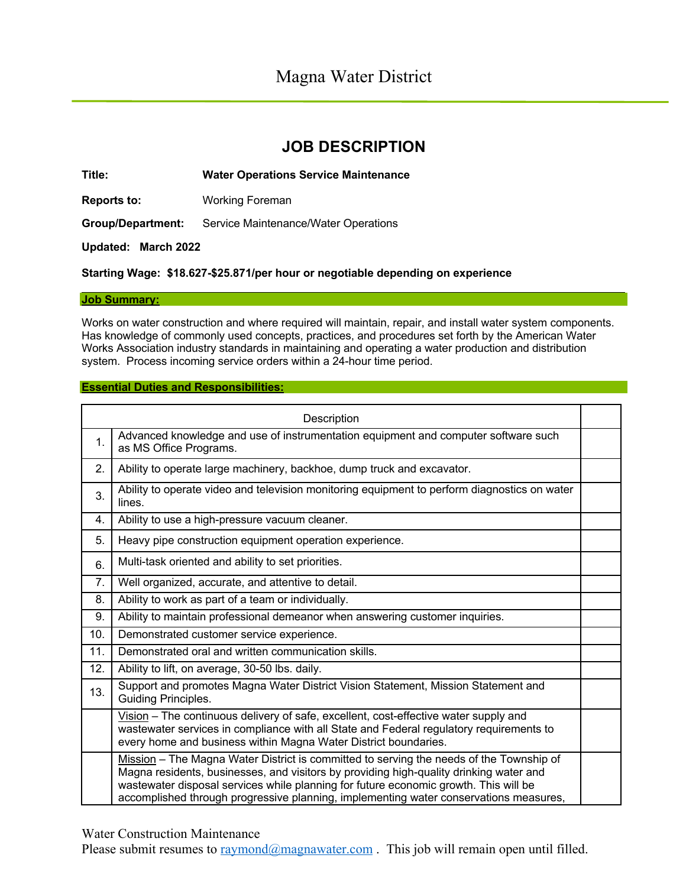# **JOB DESCRIPTION**

**Title: Water Operations Service Maintenance**

**Reports to:** Working Foreman

**Group/Department:** Service Maintenance/Water Operations

**Updated: March 2022** 

**Starting Wage: \$18.627-\$25.871/per hour or negotiable depending on experience**

### **Job Summary:**

Works on water construction and where required will maintain, repair, and install water system components. Has knowledge of commonly used concepts, practices, and procedures set forth by the American Water Works Association industry standards in maintaining and operating a water production and distribution system. Process incoming service orders within a 24-hour time period.

### **Essential Duties and Responsibilities:**

| Description |                                                                                                                                                                                                                                                                                                                                                                    |  |
|-------------|--------------------------------------------------------------------------------------------------------------------------------------------------------------------------------------------------------------------------------------------------------------------------------------------------------------------------------------------------------------------|--|
| 1.          | Advanced knowledge and use of instrumentation equipment and computer software such<br>as MS Office Programs.                                                                                                                                                                                                                                                       |  |
| 2.          | Ability to operate large machinery, backhoe, dump truck and excavator.                                                                                                                                                                                                                                                                                             |  |
| 3.          | Ability to operate video and television monitoring equipment to perform diagnostics on water<br>lines.                                                                                                                                                                                                                                                             |  |
| 4.          | Ability to use a high-pressure vacuum cleaner.                                                                                                                                                                                                                                                                                                                     |  |
| 5.          | Heavy pipe construction equipment operation experience.                                                                                                                                                                                                                                                                                                            |  |
| 6.          | Multi-task oriented and ability to set priorities.                                                                                                                                                                                                                                                                                                                 |  |
| 7.          | Well organized, accurate, and attentive to detail.                                                                                                                                                                                                                                                                                                                 |  |
| 8.          | Ability to work as part of a team or individually.                                                                                                                                                                                                                                                                                                                 |  |
| 9.          | Ability to maintain professional demeanor when answering customer inquiries.                                                                                                                                                                                                                                                                                       |  |
| 10.         | Demonstrated customer service experience.                                                                                                                                                                                                                                                                                                                          |  |
| 11.         | Demonstrated oral and written communication skills.                                                                                                                                                                                                                                                                                                                |  |
| 12.         | Ability to lift, on average, 30-50 lbs. daily.                                                                                                                                                                                                                                                                                                                     |  |
| 13.         | Support and promotes Magna Water District Vision Statement, Mission Statement and<br>Guiding Principles.                                                                                                                                                                                                                                                           |  |
|             | $Vision – The continuous delivery of safe, excellent, cost-effective water supply and$<br>wastewater services in compliance with all State and Federal regulatory requirements to<br>every home and business within Magna Water District boundaries.                                                                                                               |  |
|             | Mission – The Magna Water District is committed to serving the needs of the Township of<br>Magna residents, businesses, and visitors by providing high-quality drinking water and<br>wastewater disposal services while planning for future economic growth. This will be<br>accomplished through progressive planning, implementing water conservations measures, |  |

Water Construction Maintenance

Please submit resumes to  $\text{raymond}(\partial \text{magnawater.com})$ . This job will remain open until filled.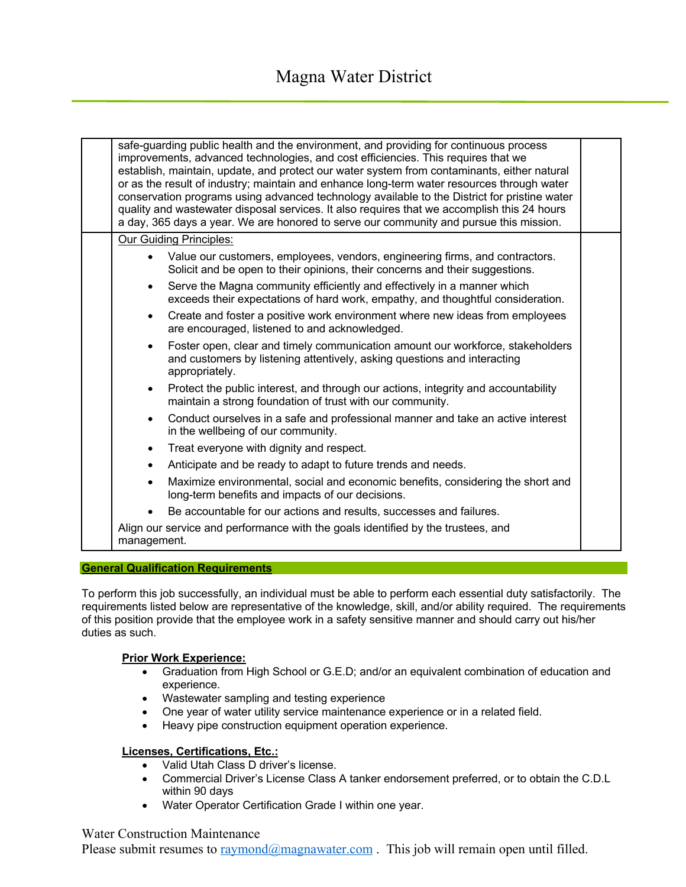| safe-quarding public health and the environment, and providing for continuous process<br>improvements, advanced technologies, and cost efficiencies. This requires that we<br>establish, maintain, update, and protect our water system from contaminants, either natural<br>or as the result of industry; maintain and enhance long-term water resources through water<br>conservation programs using advanced technology available to the District for pristine water<br>quality and wastewater disposal services. It also requires that we accomplish this 24 hours<br>a day, 365 days a year. We are honored to serve our community and pursue this mission. |  |
|------------------------------------------------------------------------------------------------------------------------------------------------------------------------------------------------------------------------------------------------------------------------------------------------------------------------------------------------------------------------------------------------------------------------------------------------------------------------------------------------------------------------------------------------------------------------------------------------------------------------------------------------------------------|--|
| <b>Our Guiding Principles:</b>                                                                                                                                                                                                                                                                                                                                                                                                                                                                                                                                                                                                                                   |  |
| Value our customers, employees, vendors, engineering firms, and contractors.<br>Solicit and be open to their opinions, their concerns and their suggestions.                                                                                                                                                                                                                                                                                                                                                                                                                                                                                                     |  |
| Serve the Magna community efficiently and effectively in a manner which<br>$\bullet$<br>exceeds their expectations of hard work, empathy, and thoughtful consideration.                                                                                                                                                                                                                                                                                                                                                                                                                                                                                          |  |
| Create and foster a positive work environment where new ideas from employees<br>$\bullet$<br>are encouraged, listened to and acknowledged.                                                                                                                                                                                                                                                                                                                                                                                                                                                                                                                       |  |
| Foster open, clear and timely communication amount our workforce, stakeholders<br>$\bullet$<br>and customers by listening attentively, asking questions and interacting<br>appropriately.                                                                                                                                                                                                                                                                                                                                                                                                                                                                        |  |
| Protect the public interest, and through our actions, integrity and accountability<br>$\bullet$<br>maintain a strong foundation of trust with our community.                                                                                                                                                                                                                                                                                                                                                                                                                                                                                                     |  |
| Conduct ourselves in a safe and professional manner and take an active interest<br>$\bullet$<br>in the wellbeing of our community.                                                                                                                                                                                                                                                                                                                                                                                                                                                                                                                               |  |
| Treat everyone with dignity and respect.<br>$\bullet$                                                                                                                                                                                                                                                                                                                                                                                                                                                                                                                                                                                                            |  |
| Anticipate and be ready to adapt to future trends and needs.<br>$\bullet$                                                                                                                                                                                                                                                                                                                                                                                                                                                                                                                                                                                        |  |
| Maximize environmental, social and economic benefits, considering the short and<br>$\bullet$<br>long-term benefits and impacts of our decisions.                                                                                                                                                                                                                                                                                                                                                                                                                                                                                                                 |  |
| Be accountable for our actions and results, successes and failures.                                                                                                                                                                                                                                                                                                                                                                                                                                                                                                                                                                                              |  |
| Align our service and performance with the goals identified by the trustees, and<br>management.                                                                                                                                                                                                                                                                                                                                                                                                                                                                                                                                                                  |  |

### **General Qualification Requirements**

To perform this job successfully, an individual must be able to perform each essential duty satisfactorily. The requirements listed below are representative of the knowledge, skill, and/or ability required. The requirements of this position provide that the employee work in a safety sensitive manner and should carry out his/her duties as such.

### **Prior Work Experience:**

- Graduation from High School or G.E.D; and/or an equivalent combination of education and experience.
- Wastewater sampling and testing experience
- One year of water utility service maintenance experience or in a related field.
- Heavy pipe construction equipment operation experience.

# **Licenses, Certifications, Etc.:**

- Valid Utah Class D driver's license.
- Commercial Driver's License Class A tanker endorsement preferred, or to obtain the C.D.L within 90 days
- Water Operator Certification Grade I within one year.

# Water Construction Maintenance

Please submit resumes to  $\text{raymond}(\partial \text{magnawater.com})$ . This job will remain open until filled.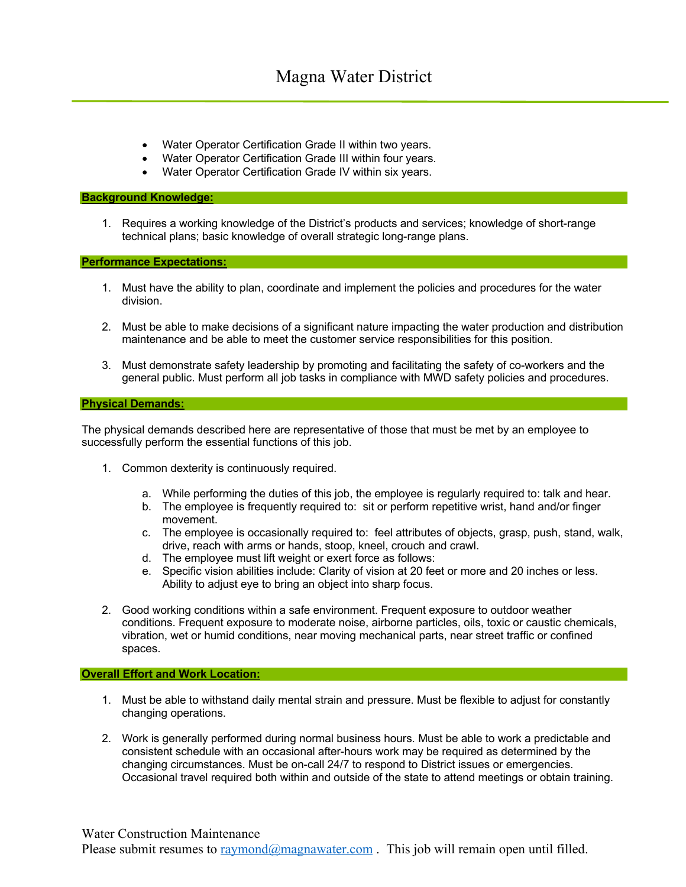- Water Operator Certification Grade II within two years.
- Water Operator Certification Grade III within four years.
- Water Operator Certification Grade IV within six years.

### **Background Knowledge:**

1. Requires a working knowledge of the District's products and services; knowledge of short-range technical plans; basic knowledge of overall strategic long-range plans.

**Performance Expectations:**

- 1. Must have the ability to plan, coordinate and implement the policies and procedures for the water division.
- 2. Must be able to make decisions of a significant nature impacting the water production and distribution maintenance and be able to meet the customer service responsibilities for this position.
- 3. Must demonstrate safety leadership by promoting and facilitating the safety of co-workers and the general public. Must perform all job tasks in compliance with MWD safety policies and procedures.

### **Physical Demands:**

The physical demands described here are representative of those that must be met by an employee to successfully perform the essential functions of this job.

- 1. Common dexterity is continuously required.
	- a. While performing the duties of this job, the employee is regularly required to: talk and hear.
	- b. The employee is frequently required to: sit or perform repetitive wrist, hand and/or finger movement.
	- c. The employee is occasionally required to: feel attributes of objects, grasp, push, stand, walk, drive, reach with arms or hands, stoop, kneel, crouch and crawl.
	- d. The employee must lift weight or exert force as follows:
	- e. Specific vision abilities include: Clarity of vision at 20 feet or more and 20 inches or less. Ability to adjust eye to bring an object into sharp focus.
- 2. Good working conditions within a safe environment. Frequent exposure to outdoor weather conditions. Frequent exposure to moderate noise, airborne particles, oils, toxic or caustic chemicals, vibration, wet or humid conditions, near moving mechanical parts, near street traffic or confined spaces.

### **Overall Effort and Work Location:**

- 1. Must be able to withstand daily mental strain and pressure. Must be flexible to adjust for constantly changing operations.
- 2. Work is generally performed during normal business hours. Must be able to work a predictable and consistent schedule with an occasional after-hours work may be required as determined by the changing circumstances. Must be on-call 24/7 to respond to District issues or emergencies. Occasional travel required both within and outside of the state to attend meetings or obtain training.

Please submit resumes to  $\text{raymond}(\partial \text{mag}_1)$  range . This job will remain open until filled.